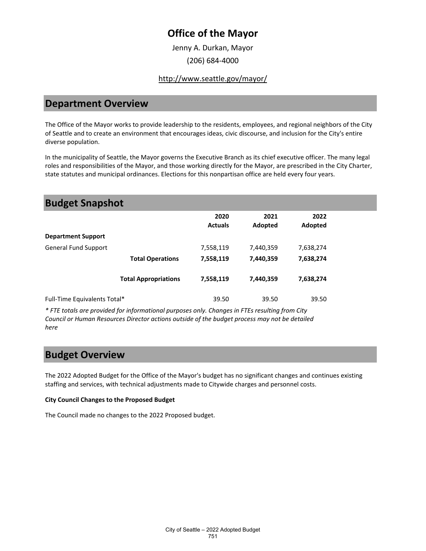## **Office of the Mayor**

Jenny A. Durkan, Mayor (206) 684-4000

#### <http://www.seattle.gov/mayor/>

#### **Department Overview**

The Office of the Mayor works to provide leadership to the residents, employees, and regional neighbors of the City of Seattle and to create an environment that encourages ideas, civic discourse, and inclusion for the City's entire diverse population.

In the municipality of Seattle, the Mayor governs the Executive Branch as its chief executive officer. The many legal roles and responsibilities of the Mayor, and those working directly for the Mayor, are prescribed in the City Charter, state statutes and municipal ordinances. Elections for this nonpartisan office are held every four years.

| <b>Budget Snapshot</b>       |                             |                        |                 |                 |  |
|------------------------------|-----------------------------|------------------------|-----------------|-----------------|--|
|                              |                             | 2020<br><b>Actuals</b> | 2021<br>Adopted | 2022<br>Adopted |  |
| <b>Department Support</b>    |                             |                        |                 |                 |  |
| <b>General Fund Support</b>  |                             | 7,558,119              | 7,440,359       | 7,638,274       |  |
|                              | <b>Total Operations</b>     | 7,558,119              | 7,440,359       | 7,638,274       |  |
|                              | <b>Total Appropriations</b> | 7,558,119              | 7,440,359       | 7,638,274       |  |
| Full-Time Equivalents Total* |                             | 39.50                  | 39.50           | 39.50           |  |

*\* FTE totals are provided for informational purposes only. Changes in FTEs resulting from City Council or Human Resources Director actions outside of the budget process may not be detailed here*

#### **Budget Overview**

The 2022 Adopted Budget for the Office of the Mayor's budget has no significant changes and continues existing staffing and services, with technical adjustments made to Citywide charges and personnel costs.

#### **City Council Changes to the Proposed Budget**

The Council made no changes to the 2022 Proposed budget.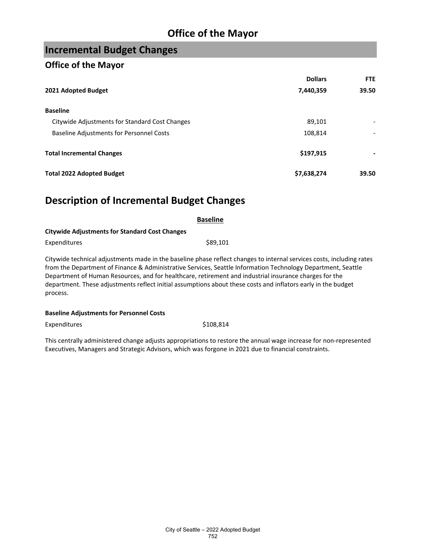# **Office of the Mayor**

# **Incremental Budget Changes**

#### **Office of the Mayor**

|                                                | <b>Dollars</b> | FTE   |
|------------------------------------------------|----------------|-------|
| 2021 Adopted Budget                            | 7,440,359      | 39.50 |
| <b>Baseline</b>                                |                |       |
| Citywide Adjustments for Standard Cost Changes | 89,101         |       |
| Baseline Adjustments for Personnel Costs       | 108,814        |       |
| <b>Total Incremental Changes</b>               | \$197,915      |       |
| <b>Total 2022 Adopted Budget</b>               | \$7,638,274    | 39.50 |

## **Description of Incremental Budget Changes**

| <b>Baseline</b>                                       |                                                                                                                                                                                                                                                                      |  |  |  |
|-------------------------------------------------------|----------------------------------------------------------------------------------------------------------------------------------------------------------------------------------------------------------------------------------------------------------------------|--|--|--|
| <b>Citywide Adjustments for Standard Cost Changes</b> |                                                                                                                                                                                                                                                                      |  |  |  |
| Expenditures                                          | \$89,101                                                                                                                                                                                                                                                             |  |  |  |
|                                                       | Citywide technical adjustments made in the baseline phase reflect changes to internal services costs, including rates<br>$\mathcal{L}$ and $\mathcal{L}$ and $\mathcal{L}$ and $\mathcal{L}$ and $\mathcal{L}$ and $\mathcal{L}$ and $\mathcal{L}$ and $\mathcal{L}$ |  |  |  |

from the Department of Finance & Administrative Services, Seattle Information Technology Department, Seattle Department of Human Resources, and for healthcare, retirement and industrial insurance charges for the department. These adjustments reflect initial assumptions about these costs and inflators early in the budget process.

#### **Baseline Adjustments for Personnel Costs**

Expenditures \$108,814

This centrally administered change adjusts appropriations to restore the annual wage increase for non-represented Executives, Managers and Strategic Advisors, which was forgone in 2021 due to financial constraints.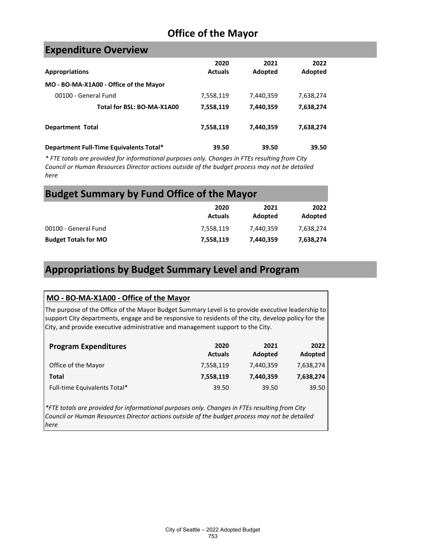# **Office of the Mayor**

### **Expenditure Overview**

| <b>Appropriations</b>                   | 2020<br><b>Actuals</b> | 2021<br>Adopted | 2022<br>Adopted |
|-----------------------------------------|------------------------|-----------------|-----------------|
| MO - BO-MA-X1A00 - Office of the Mayor  |                        |                 |                 |
| 00100 - General Fund                    | 7,558,119              | 7,440,359       | 7,638,274       |
| Total for BSL: BO-MA-X1A00              | 7,558,119              | 7,440,359       | 7,638,274       |
| <b>Department Total</b>                 | 7,558,119              | 7,440,359       | 7,638,274       |
| Department Full-Time Equivalents Total* | 39.50                  | 39.50           | 39.50           |

*\* FTE totals are provided for informational purposes only. Changes in FTEs resulting from City Council or Human Resources Director actions outside of the budget process may not be detailed here*

### **Budget Summary by Fund Office of the Mayor**

|                             | 2020<br><b>Actuals</b> | 2021<br>Adopted | 2022<br>Adopted |
|-----------------------------|------------------------|-----------------|-----------------|
| 00100 - General Fund        | 7.558.119              | 7,440,359       | 7.638.274       |
| <b>Budget Totals for MO</b> | 7,558,119              | 7,440,359       | 7,638,274       |

### **Appropriations by Budget Summary Level and Program**

#### **MO - BO-MA-X1A00 - Office of the Mayor**

The purpose of the Office of the Mayor Budget Summary Level is to provide executive leadership to support City departments, engage and be responsive to residents of the city, develop policy for the City, and provide executive administrative and management support to the City.

| <b>Program Expenditures</b>  | 2020<br><b>Actuals</b> | 2021<br>Adopted | 2022<br>Adopted |
|------------------------------|------------------------|-----------------|-----------------|
| Office of the Mayor          | 7,558,119              | 7,440,359       | 7,638,274       |
| Total                        | 7,558,119              | 7,440,359       | 7,638,274       |
| Full-time Equivalents Total* | 39.50                  | 39.50           | 39.50           |

*\*FTE totals are provided for informational purposes only. Changes in FTEs resulting from City Council or Human Resources Director actions outside of the budget process may not be detailed here*